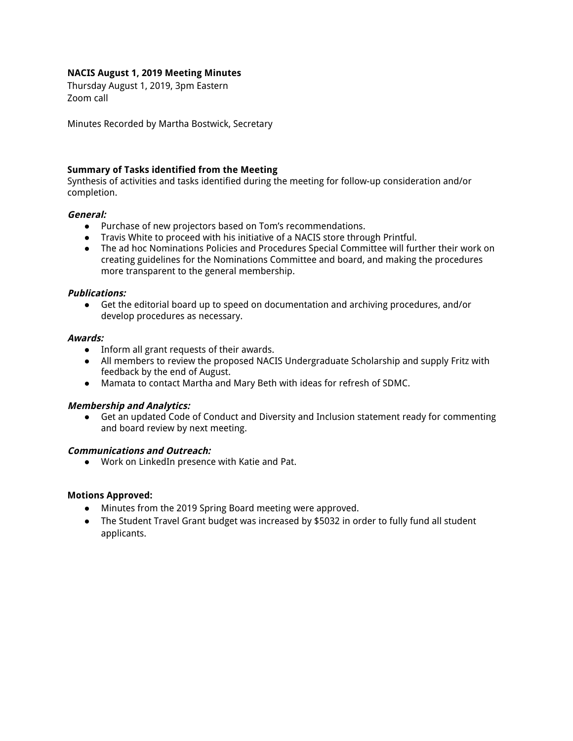## **NACIS August 1, 2019 Meeting Minutes**

Thursday August 1, 2019, 3pm Eastern Zoom call

Minutes Recorded by Martha Bostwick, Secretary

### **Summary of Tasks identified from the Meeting**

Synthesis of activities and tasks identified during the meeting for follow-up consideration and/or completion.

### **General:**

- Purchase of new projectors based on Tom's recommendations.
- Travis White to proceed with his initiative of a NACIS store through Printful.
- The ad hoc Nominations Policies and Procedures Special Committee will further their work on creating guidelines for the Nominations Committee and board, and making the procedures more transparent to the general membership.

### **Publications:**

● Get the editorial board up to speed on documentation and archiving procedures, and/or develop procedures as necessary.

#### **Awards:**

- Inform all grant requests of their awards.
- All members to review the proposed NACIS Undergraduate Scholarship and supply Fritz with feedback by the end of August.
- Mamata to contact Martha and Mary Beth with ideas for refresh of SDMC.

#### **Membership and Analytics:**

● Get an updated Code of Conduct and Diversity and Inclusion statement ready for commenting and board review by next meeting.

## **Communications and Outreach:**

● Work on LinkedIn presence with Katie and Pat.

#### **Motions Approved:**

- Minutes from the 2019 Spring Board meeting were approved.
- The Student Travel Grant budget was increased by \$5032 in order to fully fund all student applicants.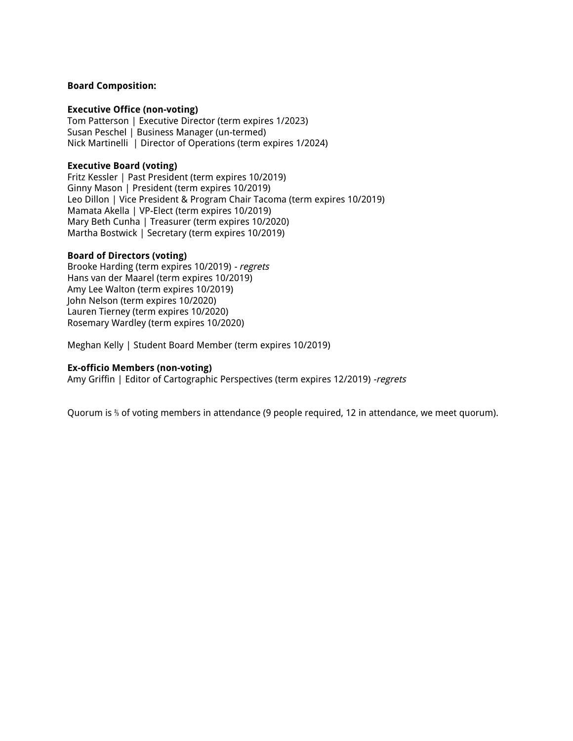### **Board Composition:**

#### **Executive Office (non-voting)**

Tom Patterson | Executive Director (term expires 1/2023) Susan Peschel | Business Manager (un-termed) Nick Martinelli | Director of Operations (term expires 1/2024)

### **Executive Board (voting)**

Fritz Kessler | Past President (term expires 10/2019) Ginny Mason | President (term expires 10/2019) Leo Dillon | Vice President & Program Chair Tacoma (term expires 10/2019) Mamata Akella | VP-Elect (term expires 10/2019) Mary Beth Cunha | Treasurer (term expires 10/2020) Martha Bostwick | Secretary (term expires 10/2019)

### **Board of Directors (voting)**

Brooke Harding (term expires 10/2019) - regrets Hans van der Maarel (term expires 10/2019) Amy Lee Walton (term expires 10/2019) John Nelson (term expires 10/2020) Lauren Tierney (term expires 10/2020) Rosemary Wardley (term expires 10/2020)

Meghan Kelly | Student Board Member (term expires 10/2019)

### **Ex-officio Members (non-voting)**

Amy Griffin | Editor of Cartographic Perspectives (term expires 12/2019) -regrets

Quorum is ⅔ of voting members in attendance (9 people required, 12 in attendance, we meet quorum).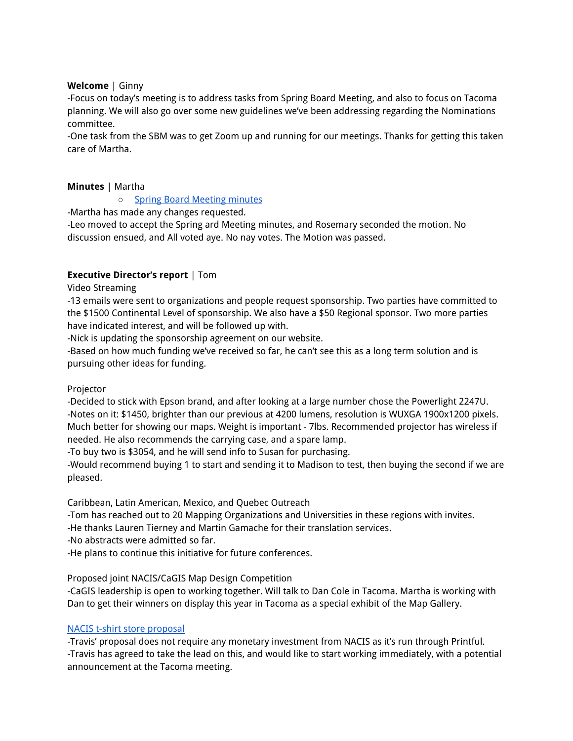## **Welcome** | Ginny

-Focus on today's meeting is to address tasks from Spring Board Meeting, and also to focus on Tacoma planning. We will also go over some new guidelines we've been addressing regarding the Nominations committee.

-One task from the SBM was to get Zoom up and running for our meetings. Thanks for getting this taken care of Martha.

## **Minutes** | Martha

○ Spring Board [Meeting](https://docs.google.com/document/d/1rtGFbZz-oJz3xO1OOKXxLaZp-95uQ4CDE3hHo1vpiuo/edit) minutes

-Martha has made any changes requested.

-Leo moved to accept the Spring ard Meeting minutes, and Rosemary seconded the motion. No discussion ensued, and All voted aye. No nay votes. The Motion was passed.

# **Executive Director's report** | Tom

Video Streaming

-13 emails were sent to organizations and people request sponsorship. Two parties have committed to the \$1500 Continental Level of sponsorship. We also have a \$50 Regional sponsor. Two more parties have indicated interest, and will be followed up with.

-Nick is updating the sponsorship agreement on our website.

-Based on how much funding we've received so far, he can't see this as a long term solution and is pursuing other ideas for funding.

## Projector

-Decided to stick with Epson brand, and after looking at a large number chose the Powerlight 2247U. -Notes on it: \$1450, brighter than our previous at 4200 lumens, resolution is WUXGA 1900x1200 pixels. Much better for showing our maps. Weight is important - 7lbs. Recommended projector has wireless if needed. He also recommends the carrying case, and a spare lamp.

-To buy two is \$3054, and he will send info to Susan for purchasing.

-Would recommend buying 1 to start and sending it to Madison to test, then buying the second if we are pleased.

Caribbean, Latin American, Mexico, and Quebec Outreach

-Tom has reached out to 20 Mapping Organizations and Universities in these regions with invites.

-He thanks Lauren Tierney and Martin Gamache for their translation services.

-No abstracts were admitted so far.

-He plans to continue this initiative for future conferences.

Proposed joint NACIS/CaGIS Map Design Competition

-CaGIS leadership is open to working together. Will talk to Dan Cole in Tacoma. Martha is working with Dan to get their winners on display this year in Tacoma as a special exhibit of the Map Gallery.

# NACIS t-shirt store [proposal](https://drive.google.com/file/d/0B_s35RNGf9WDM0VuclVySFA5Z25hT1duSV9rel92S1k5empV/view?usp=sharing)

-Travis' proposal does not require any monetary investment from NACIS as it's run through Printful. -Travis has agreed to take the lead on this, and would like to start working immediately, with a potential announcement at the Tacoma meeting.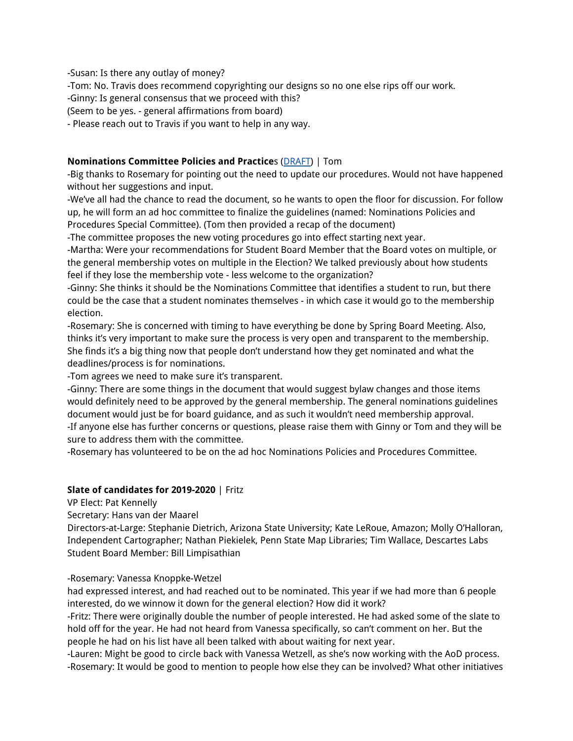-Susan: Is there any outlay of money?

-Tom: No. Travis does recommend copyrighting our designs so no one else rips off our work.

-Ginny: Is general consensus that we proceed with this?

(Seem to be yes. - general affirmations from board)

- Please reach out to Travis if you want to help in any way.

# **Nominations Committee Policies and Practice**s [\(DRAFT\)](https://docs.google.com/document/d/1F8FHoV_JkVAikn_QNY1wkCpfbt6ZrAyRau2_IzUNe1U/edit?usp=sharing) | Tom

-Big thanks to Rosemary for pointing out the need to update our procedures. Would not have happened without her suggestions and input.

-We've all had the chance to read the document, so he wants to open the floor for discussion. For follow up, he will form an ad hoc committee to finalize the guidelines (named: Nominations Policies and Procedures Special Committee). (Tom then provided a recap of the document)

-The committee proposes the new voting procedures go into effect starting next year.

-Martha: Were your recommendations for Student Board Member that the Board votes on multiple, or the general membership votes on multiple in the Election? We talked previously about how students feel if they lose the membership vote - less welcome to the organization?

-Ginny: She thinks it should be the Nominations Committee that identifies a student to run, but there could be the case that a student nominates themselves - in which case it would go to the membership election.

-Rosemary: She is concerned with timing to have everything be done by Spring Board Meeting. Also, thinks it's very important to make sure the process is very open and transparent to the membership. She finds it's a big thing now that people don't understand how they get nominated and what the deadlines/process is for nominations.

-Tom agrees we need to make sure it's transparent.

-Ginny: There are some things in the document that would suggest bylaw changes and those items would definitely need to be approved by the general membership. The general nominations guidelines document would just be for board guidance, and as such it wouldn't need membership approval. -If anyone else has further concerns or questions, please raise them with Ginny or Tom and they will be sure to address them with the committee.

-Rosemary has volunteered to be on the ad hoc Nominations Policies and Procedures Committee.

# **Slate of candidates for 2019-2020** | Fritz

VP Elect: Pat Kennelly

Secretary: Hans van der Maarel

Directors-at-Large: Stephanie Dietrich, Arizona State University; Kate LeRoue, Amazon; Molly O'Halloran, Independent Cartographer; Nathan Piekielek, Penn State Map Libraries; Tim Wallace, Descartes Labs Student Board Member: Bill Limpisathian

# -Rosemary: Vanessa Knoppke-Wetzel

had expressed interest, and had reached out to be nominated. This year if we had more than 6 people interested, do we winnow it down for the general election? How did it work?

-Fritz: There were originally double the number of people interested. He had asked some of the slate to hold off for the year. He had not heard from Vanessa specifically, so can't comment on her. But the people he had on his list have all been talked with about waiting for next year.

-Lauren: Might be good to circle back with Vanessa Wetzell, as she's now working with the AoD process. -Rosemary: It would be good to mention to people how else they can be involved? What other initiatives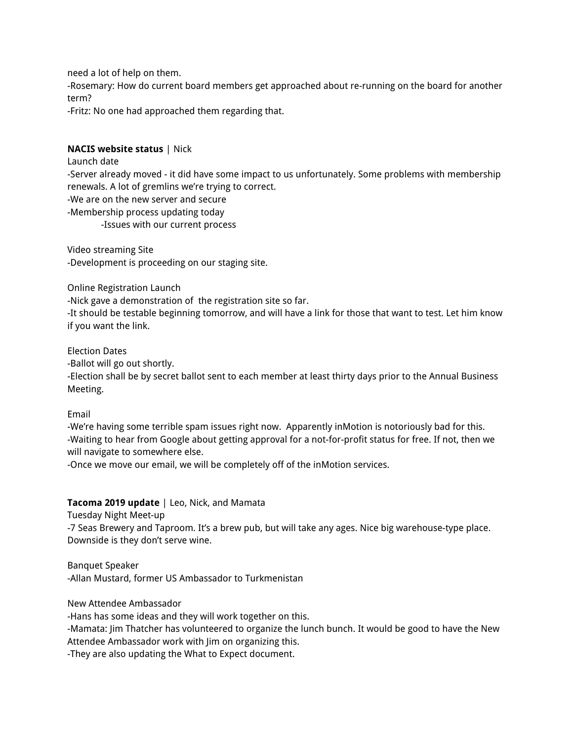need a lot of help on them.

-Rosemary: How do current board members get approached about re-running on the board for another term?

-Fritz: No one had approached them regarding that.

## **NACIS website status** | Nick

Launch date

-Server already moved - it did have some impact to us unfortunately. Some problems with membership renewals. A lot of gremlins we're trying to correct.

-We are on the new server and secure

-Membership process updating today

-Issues with our current process

Video streaming Site -Development is proceeding on our staging site.

Online Registration Launch

-Nick gave a demonstration of the registration site so far.

-It should be testable beginning tomorrow, and will have a link for those that want to test. Let him know if you want the link.

Election Dates

-Ballot will go out shortly.

-Election shall be by secret ballot sent to each member at least thirty days prior to the Annual Business Meeting.

Email

-We're having some terrible spam issues right now. Apparently inMotion is notoriously bad for this. -Waiting to hear from Google about getting approval for a not-for-profit status for free. If not, then we will navigate to somewhere else.

-Once we move our email, we will be completely off of the inMotion services.

## **Tacoma 2019 update** | Leo, Nick, and Mamata

Tuesday Night Meet-up

-7 Seas Brewery and Taproom. It's a brew pub, but will take any ages. Nice big warehouse-type place. Downside is they don't serve wine.

Banquet Speaker -Allan Mustard, former US Ambassador to Turkmenistan

New Attendee Ambassador

-Hans has some ideas and they will work together on this.

-Mamata: Jim Thatcher has volunteered to organize the lunch bunch. It would be good to have the New Attendee Ambassador work with Jim on organizing this.

-They are also updating the What to Expect document.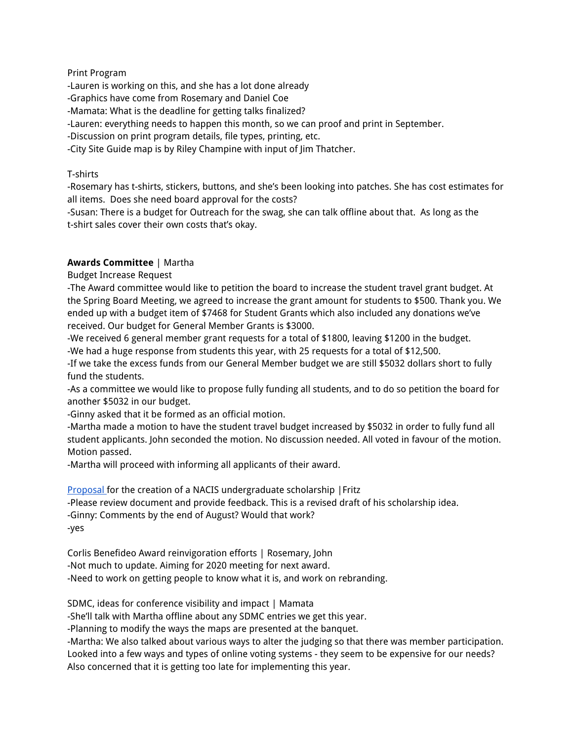## Print Program

-Lauren is working on this, and she has a lot done already

- -Graphics have come from Rosemary and Daniel Coe
- -Mamata: What is the deadline for getting talks finalized?

-Lauren: everything needs to happen this month, so we can proof and print in September.

-Discussion on print program details, file types, printing, etc.

-City Site Guide map is by Riley Champine with input of Jim Thatcher.

## T-shirts

-Rosemary has t-shirts, stickers, buttons, and she's been looking into patches. She has cost estimates for all items. Does she need board approval for the costs?

-Susan: There is a budget for Outreach for the swag, she can talk offline about that. As long as the t-shirt sales cover their own costs that's okay.

## **Awards Committee** | Martha

Budget Increase Request

-The Award committee would like to petition the board to increase the student travel grant budget. At the Spring Board Meeting, we agreed to increase the grant amount for students to \$500. Thank you. We ended up with a budget item of \$7468 for Student Grants which also included any donations we've received. Our budget for General Member Grants is \$3000.

-We received 6 general member grant requests for a total of \$1800, leaving \$1200 in the budget. -We had a huge response from students this year, with 25 requests for a total of \$12,500.

-If we take the excess funds from our General Member budget we are still \$5032 dollars short to fully fund the students.

-As a committee we would like to propose fully funding all students, and to do so petition the board for another \$5032 in our budget.

-Ginny asked that it be formed as an official motion.

-Martha made a motion to have the student travel budget increased by \$5032 in order to fully fund all student applicants. John seconded the motion. No discussion needed. All voted in favour of the motion. Motion passed.

-Martha will proceed with informing all applicants of their award.

[Proposal](https://docs.google.com/document/d/1X8zHTGQgfAOJIDZNkEFnAtauPB9H7v-eKWUUNOI3Blo/edit?usp=sharing) for the creation of a NACIS undergraduate scholarship |Fritz

-Please review document and provide feedback. This is a revised draft of his scholarship idea.

-Ginny: Comments by the end of August? Would that work?

-yes

Corlis Benefideo Award reinvigoration efforts | Rosemary, John -Not much to update. Aiming for 2020 meeting for next award. -Need to work on getting people to know what it is, and work on rebranding.

SDMC, ideas for conference visibility and impact | Mamata

-She'll talk with Martha offline about any SDMC entries we get this year.

-Planning to modify the ways the maps are presented at the banquet.

-Martha: We also talked about various ways to alter the judging so that there was member participation.

Looked into a few ways and types of online voting systems - they seem to be expensive for our needs? Also concerned that it is getting too late for implementing this year.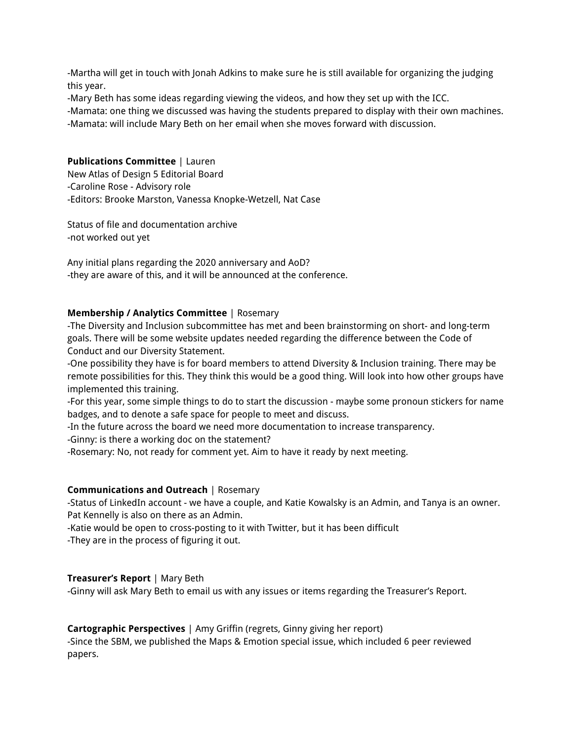-Martha will get in touch with Jonah Adkins to make sure he is still available for organizing the judging this year.

-Mary Beth has some ideas regarding viewing the videos, and how they set up with the ICC.

-Mamata: one thing we discussed was having the students prepared to display with their own machines.

-Mamata: will include Mary Beth on her email when she moves forward with discussion.

## **Publications Committee** | Lauren

New Atlas of Design 5 Editorial Board -Caroline Rose - Advisory role -Editors: Brooke Marston, Vanessa Knopke-Wetzell, Nat Case

Status of file and documentation archive -not worked out yet

Any initial plans regarding the 2020 anniversary and AoD? -they are aware of this, and it will be announced at the conference.

## **Membership / Analytics Committee** | Rosemary

-The Diversity and Inclusion subcommittee has met and been brainstorming on short- and long-term goals. There will be some website updates needed regarding the difference between the Code of Conduct and our Diversity Statement.

-One possibility they have is for board members to attend Diversity & Inclusion training. There may be remote possibilities for this. They think this would be a good thing. Will look into how other groups have implemented this training.

-For this year, some simple things to do to start the discussion - maybe some pronoun stickers for name badges, and to denote a safe space for people to meet and discuss.

-In the future across the board we need more documentation to increase transparency.

-Ginny: is there a working doc on the statement?

-Rosemary: No, not ready for comment yet. Aim to have it ready by next meeting.

## **Communications and Outreach** | Rosemary

-Status of LinkedIn account - we have a couple, and Katie Kowalsky is an Admin, and Tanya is an owner. Pat Kennelly is also on there as an Admin.

-Katie would be open to cross-posting to it with Twitter, but it has been difficult

-They are in the process of figuring it out.

# **Treasurer's Report** | Mary Beth

-Ginny will ask Mary Beth to email us with any issues or items regarding the Treasurer's Report.

## **Cartographic Perspectives** | Amy Griffin (regrets, Ginny giving her report)

-Since the SBM, we published the Maps & Emotion special issue, which included 6 peer reviewed papers.